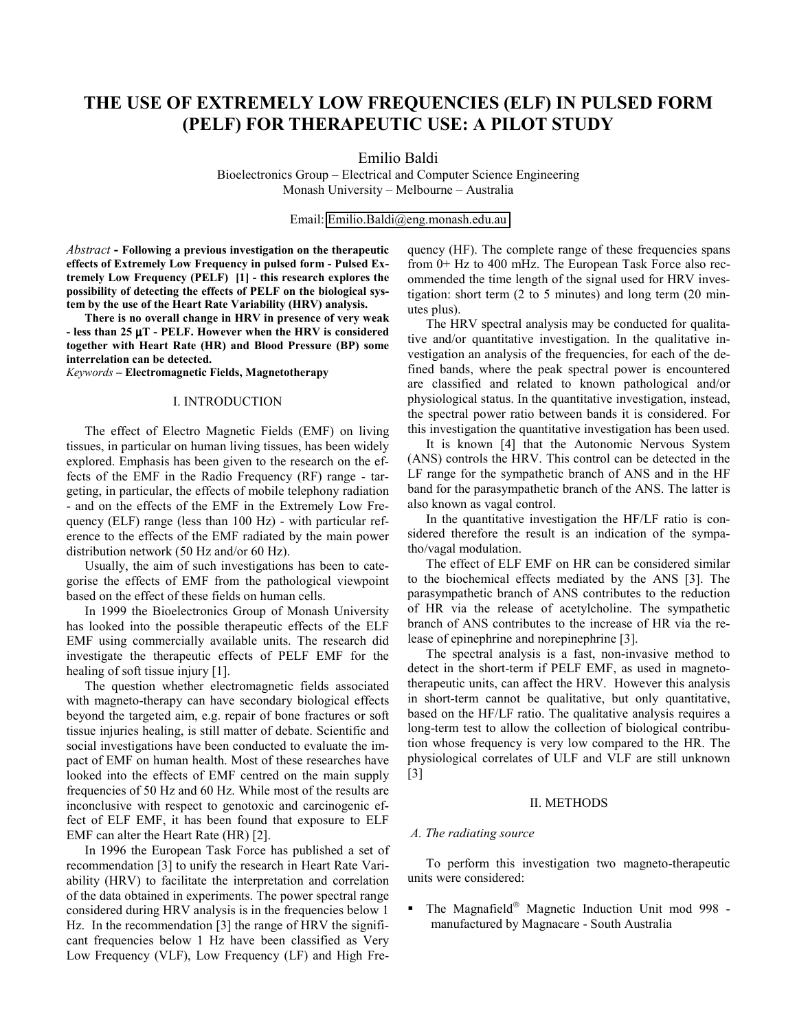# **THE USE OF EXTREMELY LOW FREQUENCIES (ELF) IN PULSED FORM (PELF) FOR THERAPEUTIC USE: A PILOT STUDY**

Emilio Baldi

Bioelectronics Group – Electrical and Computer Science Engineering Monash University – Melbourne – Australia

Email: [Emilio.Baldi@eng.monash.edu.au](mailto:Emilio.Baldi@eng.monash.edu.au)

*Abstract* **- Following a previous investigation on the therapeutic effects of Extremely Low Frequency in pulsed form - Pulsed Extremely Low Frequency (PELF) [1] - this research explores the possibility of detecting the effects of PELF on the biological system by the use of the Heart Rate Variability (HRV) analysis.**

**There is no overall change in HRV in presence of very weak - less than 25** µ**T - PELF. However when the HRV is considered together with Heart Rate (HR) and Blood Pressure (BP) some interrelation can be detected.**

*Keywords* **– Electromagnetic Fields, Magnetotherapy**

### I. INTRODUCTION

The effect of Electro Magnetic Fields (EMF) on living tissues, in particular on human living tissues, has been widely explored. Emphasis has been given to the research on the effects of the EMF in the Radio Frequency (RF) range - targeting, in particular, the effects of mobile telephony radiation - and on the effects of the EMF in the Extremely Low Frequency (ELF) range (less than 100 Hz) - with particular reference to the effects of the EMF radiated by the main power distribution network (50 Hz and/or 60 Hz).

Usually, the aim of such investigations has been to categorise the effects of EMF from the pathological viewpoint based on the effect of these fields on human cells.

In 1999 the Bioelectronics Group of Monash University has looked into the possible therapeutic effects of the ELF EMF using commercially available units. The research did investigate the therapeutic effects of PELF EMF for the healing of soft tissue injury [1].

The question whether electromagnetic fields associated with magneto-therapy can have secondary biological effects beyond the targeted aim, e.g. repair of bone fractures or soft tissue injuries healing, is still matter of debate. Scientific and social investigations have been conducted to evaluate the impact of EMF on human health. Most of these researches have looked into the effects of EMF centred on the main supply frequencies of 50 Hz and 60 Hz. While most of the results are inconclusive with respect to genotoxic and carcinogenic effect of ELF EMF, it has been found that exposure to ELF EMF can alter the Heart Rate (HR) [2].

In 1996 the European Task Force has published a set of recommendation [3] to unify the research in Heart Rate Variability (HRV) to facilitate the interpretation and correlation of the data obtained in experiments. The power spectral range considered during HRV analysis is in the frequencies below 1 Hz. In the recommendation [3] the range of HRV the significant frequencies below 1 Hz have been classified as Very Low Frequency (VLF), Low Frequency (LF) and High Frequency (HF). The complete range of these frequencies spans from 0+ Hz to 400 mHz. The European Task Force also recommended the time length of the signal used for HRV investigation: short term (2 to 5 minutes) and long term (20 minutes plus).

The HRV spectral analysis may be conducted for qualitative and/or quantitative investigation. In the qualitative investigation an analysis of the frequencies, for each of the defined bands, where the peak spectral power is encountered are classified and related to known pathological and/or physiological status. In the quantitative investigation, instead, the spectral power ratio between bands it is considered. For this investigation the quantitative investigation has been used.

It is known [4] that the Autonomic Nervous System (ANS) controls the HRV. This control can be detected in the LF range for the sympathetic branch of ANS and in the HF band for the parasympathetic branch of the ANS. The latter is also known as vagal control.

In the quantitative investigation the HF/LF ratio is considered therefore the result is an indication of the sympatho/vagal modulation.

The effect of ELF EMF on HR can be considered similar to the biochemical effects mediated by the ANS [3]. The parasympathetic branch of ANS contributes to the reduction of HR via the release of acetylcholine. The sympathetic branch of ANS contributes to the increase of HR via the release of epinephrine and norepinephrine [3].

The spectral analysis is a fast, non-invasive method to detect in the short-term if PELF EMF, as used in magnetotherapeutic units, can affect the HRV. However this analysis in short-term cannot be qualitative, but only quantitative, based on the HF/LF ratio. The qualitative analysis requires a long-term test to allow the collection of biological contribution whose frequency is very low compared to the HR. The physiological correlates of ULF and VLF are still unknown [3]

### II. METHODS

#### *A. The radiating source*

To perform this investigation two magneto-therapeutic units were considered:

 $\blacksquare$  The Magnafield® Magnetic Induction Unit mod 998 manufactured by Magnacare - South Australia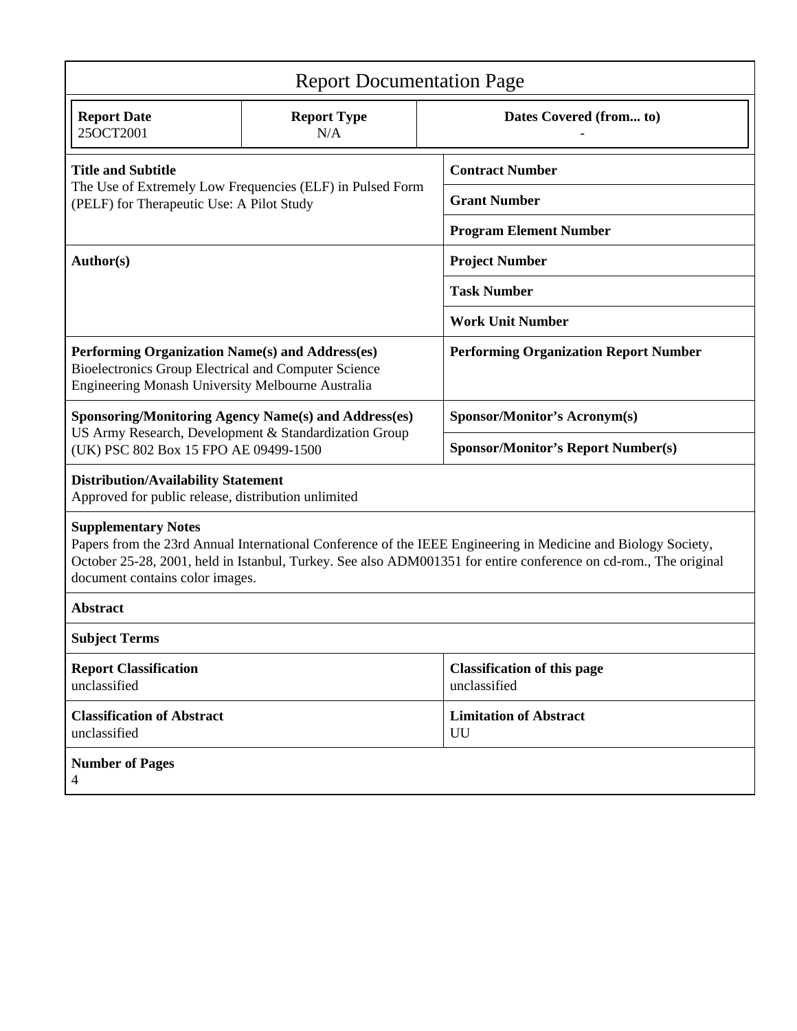| <b>Report Documentation Page</b>                                                                                                                                                                                                                                                                   |                           |                         |                                                    |
|----------------------------------------------------------------------------------------------------------------------------------------------------------------------------------------------------------------------------------------------------------------------------------------------------|---------------------------|-------------------------|----------------------------------------------------|
| <b>Report Date</b><br>25OCT2001                                                                                                                                                                                                                                                                    | <b>Report Type</b><br>N/A | Dates Covered (from to) |                                                    |
| <b>Title and Subtitle</b><br>The Use of Extremely Low Frequencies (ELF) in Pulsed Form<br>(PELF) for Therapeutic Use: A Pilot Study                                                                                                                                                                |                           |                         | <b>Contract Number</b>                             |
|                                                                                                                                                                                                                                                                                                    |                           |                         | <b>Grant Number</b>                                |
|                                                                                                                                                                                                                                                                                                    |                           |                         | <b>Program Element Number</b>                      |
| Author(s)                                                                                                                                                                                                                                                                                          |                           |                         | <b>Project Number</b>                              |
|                                                                                                                                                                                                                                                                                                    |                           |                         | <b>Task Number</b>                                 |
|                                                                                                                                                                                                                                                                                                    |                           |                         | <b>Work Unit Number</b>                            |
| Performing Organization Name(s) and Address(es)<br><b>Bioelectronics Group Electrical and Computer Science</b><br>Engineering Monash University Melbourne Australia                                                                                                                                |                           |                         | <b>Performing Organization Report Number</b>       |
| <b>Sponsoring/Monitoring Agency Name(s) and Address(es)</b>                                                                                                                                                                                                                                        |                           |                         | Sponsor/Monitor's Acronym(s)                       |
| US Army Research, Development & Standardization Group<br>(UK) PSC 802 Box 15 FPO AE 09499-1500                                                                                                                                                                                                     |                           |                         | <b>Sponsor/Monitor's Report Number(s)</b>          |
| <b>Distribution/Availability Statement</b><br>Approved for public release, distribution unlimited                                                                                                                                                                                                  |                           |                         |                                                    |
| <b>Supplementary Notes</b><br>Papers from the 23rd Annual International Conference of the IEEE Engineering in Medicine and Biology Society,<br>October 25-28, 2001, held in Istanbul, Turkey. See also ADM001351 for entire conference on cd-rom., The original<br>document contains color images. |                           |                         |                                                    |
| Abstract                                                                                                                                                                                                                                                                                           |                           |                         |                                                    |
| <b>Subject Terms</b>                                                                                                                                                                                                                                                                               |                           |                         |                                                    |
| <b>Report Classification</b><br>unclassified                                                                                                                                                                                                                                                       |                           |                         | <b>Classification of this page</b><br>unclassified |
| <b>Classification of Abstract</b><br>unclassified                                                                                                                                                                                                                                                  |                           |                         | <b>Limitation of Abstract</b><br>UU                |
| <b>Number of Pages</b><br>4                                                                                                                                                                                                                                                                        |                           |                         |                                                    |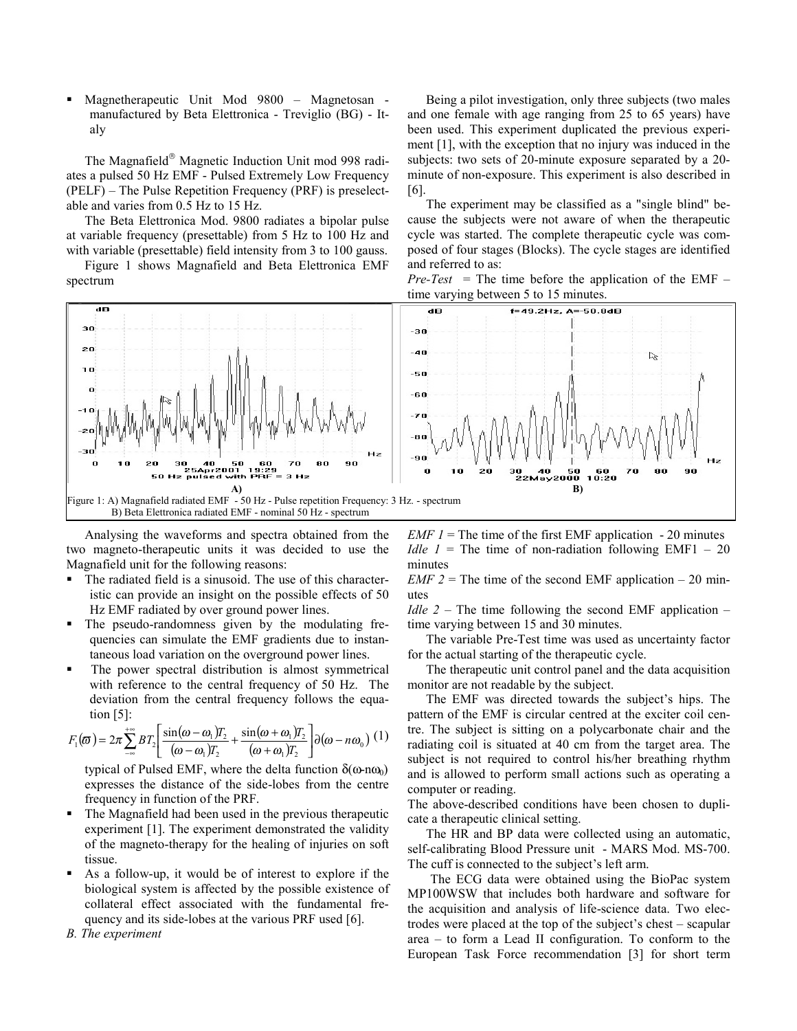Magnetherapeutic Unit Mod 9800 – Magnetosan manufactured by Beta Elettronica - Treviglio (BG) - Italy

The Magnafield<sup>®</sup> Magnetic Induction Unit mod 998 radiates a pulsed 50 Hz EMF - Pulsed Extremely Low Frequency (PELF) – The Pulse Repetition Frequency (PRF) is preselectable and varies from 0.5 Hz to 15 Hz.

The Beta Elettronica Mod. 9800 radiates a bipolar pulse at variable frequency (presettable) from 5 Hz to 100 Hz and with variable (presettable) field intensity from 3 to 100 gauss.

Figure 1 shows Magnafield and Beta Elettronica EMF spectrum

Being a pilot investigation, only three subjects (two males and one female with age ranging from 25 to 65 years) have been used. This experiment duplicated the previous experiment [1], with the exception that no injury was induced in the subjects: two sets of 20-minute exposure separated by a 20 minute of non-exposure. This experiment is also described in [6].

The experiment may be classified as a "single blind" because the subjects were not aware of when the therapeutic cycle was started. The complete therapeutic cycle was composed of four stages (Blocks). The cycle stages are identified and referred to as:

*Pre-Test* = The time before the application of the EMF – time varying between 5 to 15 minutes.



Analysing the waveforms and spectra obtained from the two magneto-therapeutic units it was decided to use the Magnafield unit for the following reasons:

- The radiated field is a sinusoid. The use of this characteristic can provide an insight on the possible effects of 50 Hz EMF radiated by over ground power lines.
- The pseudo-randomness given by the modulating frequencies can simulate the EMF gradients due to instantaneous load variation on the overground power lines.
- The power spectral distribution is almost symmetrical with reference to the central frequency of 50 Hz. The deviation from the central frequency follows the equation [5]:

$$
F_1(\boldsymbol{\varpi}) = 2\pi \sum_{-\infty}^{+\infty} B T_2 \left[ \frac{\sin((\boldsymbol{\omega} - \boldsymbol{\omega}_1)T_2}{(\boldsymbol{\omega} - \boldsymbol{\omega}_1)T_2} + \frac{\sin((\boldsymbol{\omega} + \boldsymbol{\omega}_1)T_2}{(\boldsymbol{\omega} + \boldsymbol{\omega}_1)T_2} \right] \partial(\boldsymbol{\omega} - n\boldsymbol{\omega}_0) (1)
$$

typical of Pulsed EMF, where the delta function  $\delta(\omega n\omega_0)$ expresses the distance of the side-lobes from the centre frequency in function of the PRF.

- The Magnafield had been used in the previous therapeutic experiment [1]. The experiment demonstrated the validity of the magneto-therapy for the healing of injuries on soft tissue.
- As a follow-up, it would be of interest to explore if the biological system is affected by the possible existence of collateral effect associated with the fundamental frequency and its side-lobes at the various PRF used [6].
- *B. The experiment*

*EMF 1* = The time of the first EMF application  $-20$  minutes *Idle 1* = The time of non-radiation following EMF1 – 20 minutes

*EMF 2* = The time of the second EMF application  $-20$  minutes

*Idle 2* – The time following the second EMF application – time varying between 15 and 30 minutes.

The variable Pre-Test time was used as uncertainty factor for the actual starting of the therapeutic cycle.

The therapeutic unit control panel and the data acquisition monitor are not readable by the subject.

The EMF was directed towards the subject's hips. The pattern of the EMF is circular centred at the exciter coil centre. The subject is sitting on a polycarbonate chair and the radiating coil is situated at 40 cm from the target area. The subject is not required to control his/her breathing rhythm and is allowed to perform small actions such as operating a computer or reading.

The above-described conditions have been chosen to duplicate a therapeutic clinical setting.

The HR and BP data were collected using an automatic, self-calibrating Blood Pressure unit - MARS Mod. MS-700. The cuff is connected to the subject's left arm.

 The ECG data were obtained using the BioPac system MP100WSW that includes both hardware and software for the acquisition and analysis of life-science data. Two electrodes were placed at the top of the subject's chest – scapular area – to form a Lead II configuration. To conform to the European Task Force recommendation [3] for short term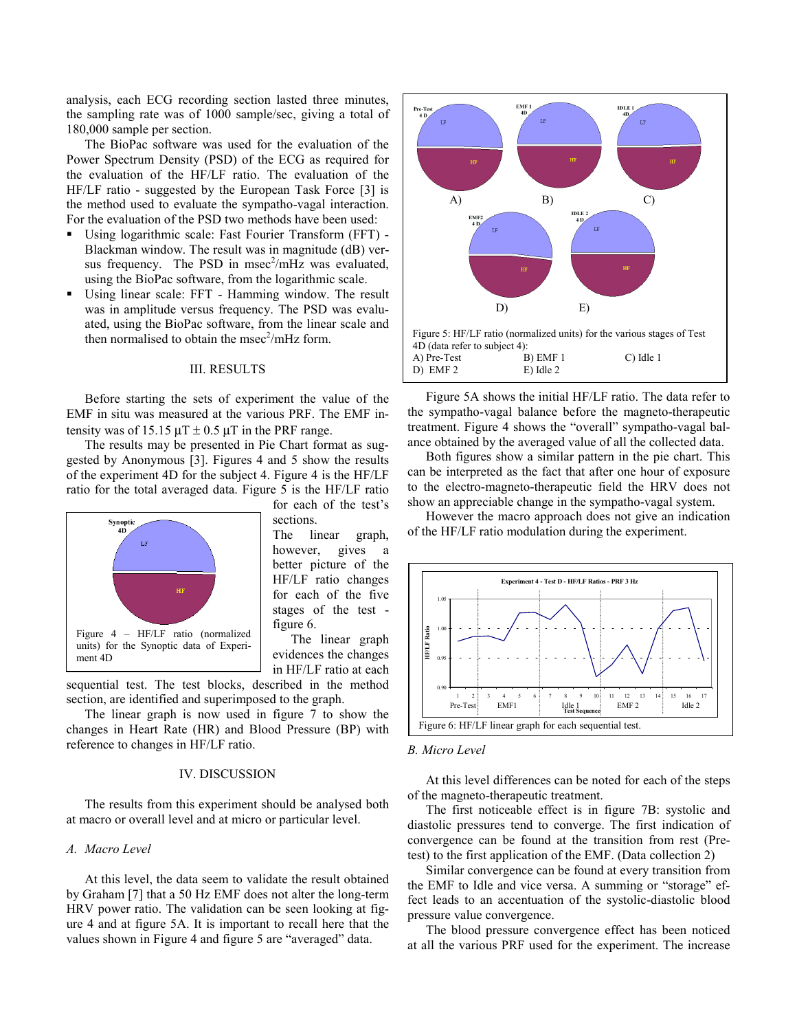analysis, each ECG recording section lasted three minutes, the sampling rate was of 1000 sample/sec, giving a total of 180,000 sample per section.

The BioPac software was used for the evaluation of the Power Spectrum Density (PSD) of the ECG as required for the evaluation of the HF/LF ratio. The evaluation of the HF/LF ratio - suggested by the European Task Force [3] is the method used to evaluate the sympatho-vagal interaction. For the evaluation of the PSD two methods have been used:

- Using logarithmic scale: Fast Fourier Transform (FFT) Blackman window. The result was in magnitude (dB) versus frequency. The PSD in msec $^2$ /mHz was evaluated, using the BioPac software, from the logarithmic scale.
- Using linear scale: FFT Hamming window. The result was in amplitude versus frequency. The PSD was evaluated, using the BioPac software, from the linear scale and then normalised to obtain the msec $2/mHz$  form.

### III. RESULTS

Before starting the sets of experiment the value of the EMF in situ was measured at the various PRF. The EMF intensity was of 15.15  $\mu$ T  $\pm$  0.5  $\mu$ T in the PRF range.

 The results may be presented in Pie Chart format as suggested by Anonymous [3]. Figures 4 and 5 show the results of the experiment 4D for the subject 4. Figure 4 is the HF/LF ratio for the total averaged data. Figure 5 is the HF/LF ratio



sections.

The linear graph, however, gives a better picture of the HF/LF ratio changes for each of the five stages of the test figure 6.

for each of the test's

The linear graph evidences the changes in HF/LF ratio at each

sequential test. The test blocks, described in the method section, are identified and superimposed to the graph.

The linear graph is now used in figure 7 to show the changes in Heart Rate (HR) and Blood Pressure (BP) with reference to changes in HF/LF ratio.

## IV. DISCUSSION

The results from this experiment should be analysed both at macro or overall level and at micro or particular level.

### *A. Macro Level*

At this level, the data seem to validate the result obtained by Graham [7] that a 50 Hz EMF does not alter the long-term HRV power ratio. The validation can be seen looking at figure 4 and at figure 5A. It is important to recall here that the values shown in Figure 4 and figure 5 are "averaged" data.



Figure 5A shows the initial HF/LF ratio. The data refer to the sympatho-vagal balance before the magneto-therapeutic treatment. Figure 4 shows the "overall" sympatho-vagal balance obtained by the averaged value of all the collected data.

Both figures show a similar pattern in the pie chart. This can be interpreted as the fact that after one hour of exposure to the electro-magneto-therapeutic field the HRV does not show an appreciable change in the sympatho-vagal system.

However the macro approach does not give an indication of the HF/LF ratio modulation during the experiment.



#### *B. Micro Level*

At this level differences can be noted for each of the steps of the magneto-therapeutic treatment.

The first noticeable effect is in figure 7B: systolic and diastolic pressures tend to converge. The first indication of convergence can be found at the transition from rest (Pretest) to the first application of the EMF. (Data collection 2)

Similar convergence can be found at every transition from the EMF to Idle and vice versa. A summing or "storage" effect leads to an accentuation of the systolic-diastolic blood pressure value convergence.

The blood pressure convergence effect has been noticed at all the various PRF used for the experiment. The increase